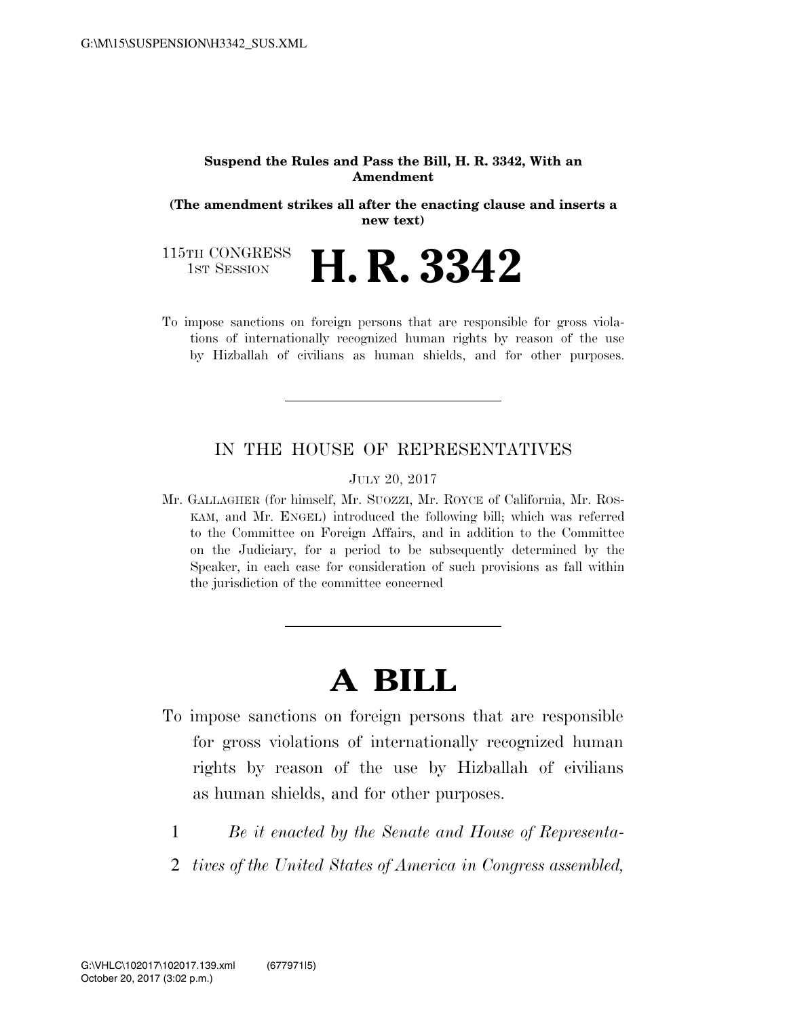#### **Suspend the Rules and Pass the Bill, H. R. 3342, With an Amendment**

**(The amendment strikes all after the enacting clause and inserts a new text)** 

115TH CONGRESS<br>1st Session **H. R. 3342** 

To impose sanctions on foreign persons that are responsible for gross violations of internationally recognized human rights by reason of the use by Hizballah of civilians as human shields, and for other purposes.

#### IN THE HOUSE OF REPRESENTATIVES

#### JULY 20, 2017

Mr. GALLAGHER (for himself, Mr. SUOZZI, Mr. ROYCE of California, Mr. ROS-KAM, and Mr. ENGEL) introduced the following bill; which was referred to the Committee on Foreign Affairs, and in addition to the Committee on the Judiciary, for a period to be subsequently determined by the Speaker, in each case for consideration of such provisions as fall within the jurisdiction of the committee concerned

# **A BILL**

- To impose sanctions on foreign persons that are responsible for gross violations of internationally recognized human rights by reason of the use by Hizballah of civilians as human shields, and for other purposes.
	- 1 *Be it enacted by the Senate and House of Representa-*
	- 2 *tives of the United States of America in Congress assembled,*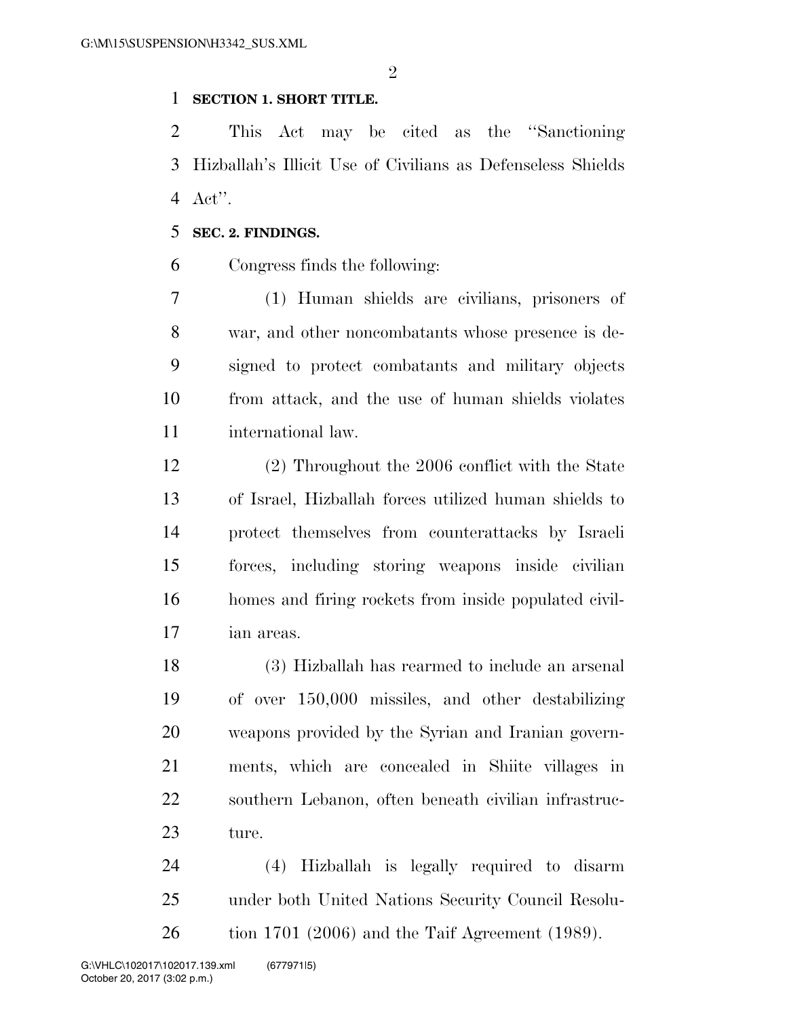$\mathfrak{D}$ 

#### **SECTION 1. SHORT TITLE.**

 This Act may be cited as the ''Sanctioning Hizballah's Illicit Use of Civilians as Defenseless Shields Act''.

#### **SEC. 2. FINDINGS.**

Congress finds the following:

 (1) Human shields are civilians, prisoners of war, and other noncombatants whose presence is de- signed to protect combatants and military objects from attack, and the use of human shields violates international law.

 (2) Throughout the 2006 conflict with the State of Israel, Hizballah forces utilized human shields to protect themselves from counterattacks by Israeli forces, including storing weapons inside civilian homes and firing rockets from inside populated civil-ian areas.

 (3) Hizballah has rearmed to include an arsenal of over 150,000 missiles, and other destabilizing weapons provided by the Syrian and Iranian govern- ments, which are concealed in Shiite villages in southern Lebanon, often beneath civilian infrastruc-ture.

 (4) Hizballah is legally required to disarm under both United Nations Security Council Resolu-tion 1701 (2006) and the Taif Agreement (1989).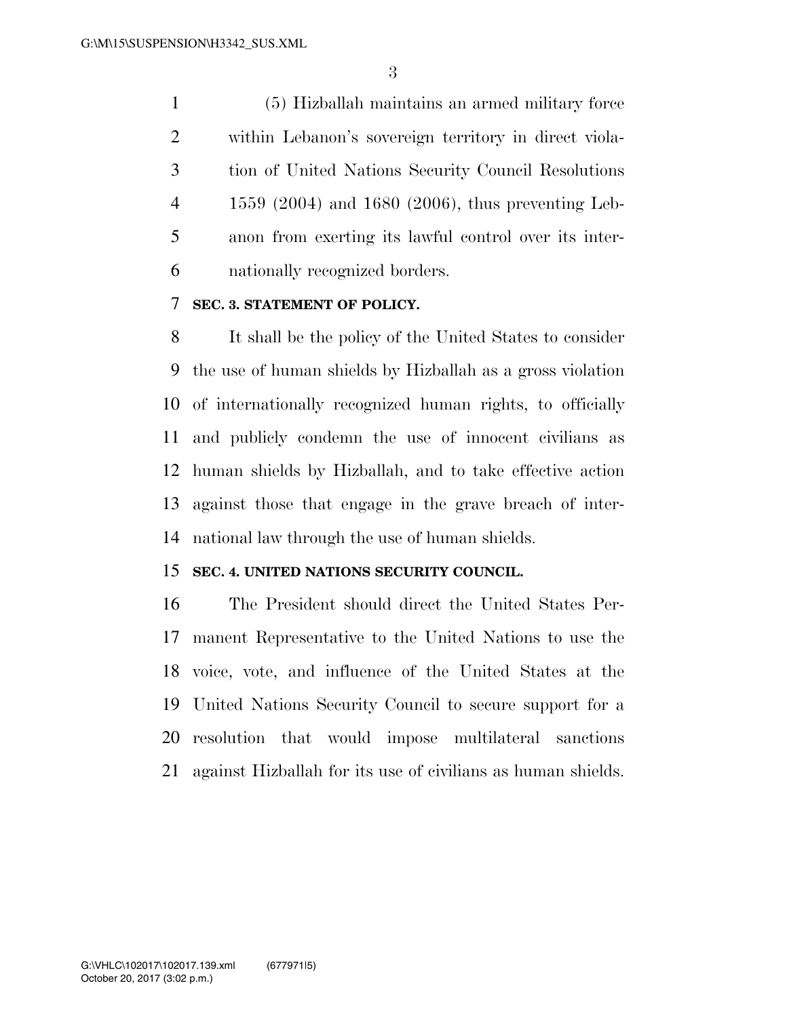(5) Hizballah maintains an armed military force within Lebanon's sovereign territory in direct viola- tion of United Nations Security Council Resolutions 1559 (2004) and 1680 (2006), thus preventing Leb- anon from exerting its lawful control over its inter-nationally recognized borders.

## **SEC. 3. STATEMENT OF POLICY.**

 It shall be the policy of the United States to consider the use of human shields by Hizballah as a gross violation of internationally recognized human rights, to officially and publicly condemn the use of innocent civilians as human shields by Hizballah, and to take effective action against those that engage in the grave breach of inter-national law through the use of human shields.

### **SEC. 4. UNITED NATIONS SECURITY COUNCIL.**

 The President should direct the United States Per- manent Representative to the United Nations to use the voice, vote, and influence of the United States at the United Nations Security Council to secure support for a resolution that would impose multilateral sanctions against Hizballah for its use of civilians as human shields.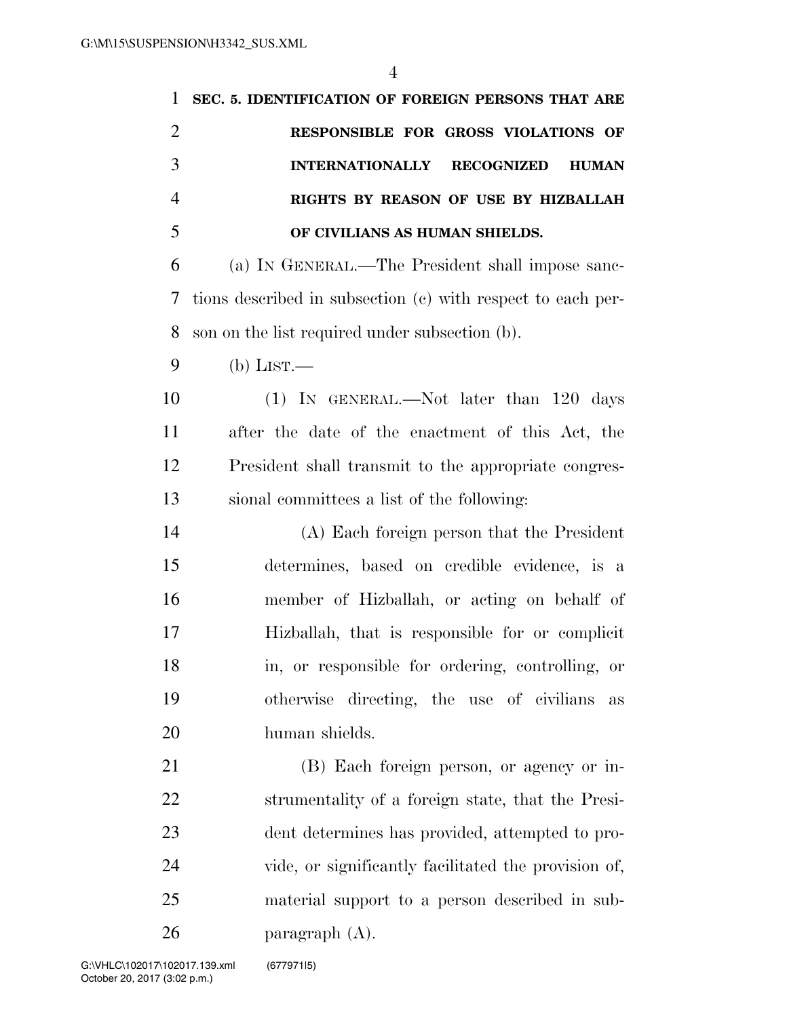| 1              | SEC. 5. IDENTIFICATION OF FOREIGN PERSONS THAT ARE          |
|----------------|-------------------------------------------------------------|
| $\overline{2}$ | RESPONSIBLE FOR GROSS VIOLATIONS OF                         |
| 3              | <b>INTERNATIONALLY</b><br><b>RECOGNIZED</b><br><b>HUMAN</b> |
| $\overline{4}$ | RIGHTS BY REASON OF USE BY HIZBALLAH                        |
| 5              | OF CIVILIANS AS HUMAN SHIELDS.                              |
| 6              | (a) IN GENERAL.—The President shall impose sanc-            |
| 7              | tions described in subsection (c) with respect to each per- |
| 8              | son on the list required under subsection (b).              |
| 9              | $(b)$ LIST.—                                                |
| 10             | (1) IN GENERAL.—Not later than 120 days                     |
| 11             | after the date of the enactment of this Act, the            |
| 12             | President shall transmit to the appropriate congres-        |
| 13             | sional committees a list of the following:                  |
| 14             | (A) Each foreign person that the President                  |
| 15             | determines, based on credible evidence, is a                |
| 16             | member of Hizballah, or acting on behalf of                 |
| 17             | Hizballah, that is responsible for or complicit             |
| 18             | in, or responsible for ordering, controlling, or            |
| 19             | otherwise directing, the use of civilians<br>as             |
| 20             | human shields.                                              |
| 21             | (B) Each foreign person, or agency or in-                   |
| 22             | strumentality of a foreign state, that the Presi-           |
| 23             | dent determines has provided, attempted to pro-             |
| 24             | vide, or significantly facilitated the provision of,        |
| 25             | material support to a person described in sub-              |
| 26             | paragraph $(A)$ .                                           |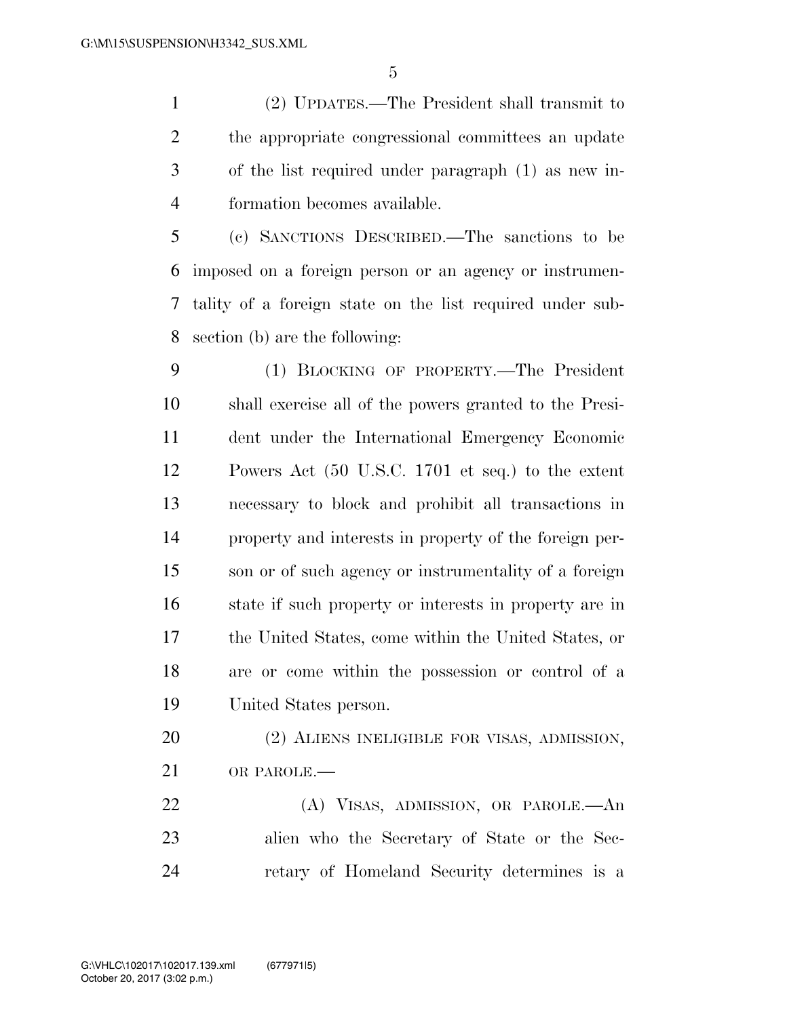(2) UPDATES.—The President shall transmit to the appropriate congressional committees an update of the list required under paragraph (1) as new in-formation becomes available.

 (c) SANCTIONS DESCRIBED.—The sanctions to be imposed on a foreign person or an agency or instrumen- tality of a foreign state on the list required under sub-section (b) are the following:

 (1) BLOCKING OF PROPERTY.—The President shall exercise all of the powers granted to the Presi- dent under the International Emergency Economic Powers Act (50 U.S.C. 1701 et seq.) to the extent necessary to block and prohibit all transactions in property and interests in property of the foreign per- son or of such agency or instrumentality of a foreign state if such property or interests in property are in the United States, come within the United States, or are or come within the possession or control of a United States person.

20 (2) ALIENS INELIGIBLE FOR VISAS, ADMISSION, OR PAROLE.—

 (A) VISAS, ADMISSION, OR PAROLE.—An alien who the Secretary of State or the Sec-retary of Homeland Security determines is a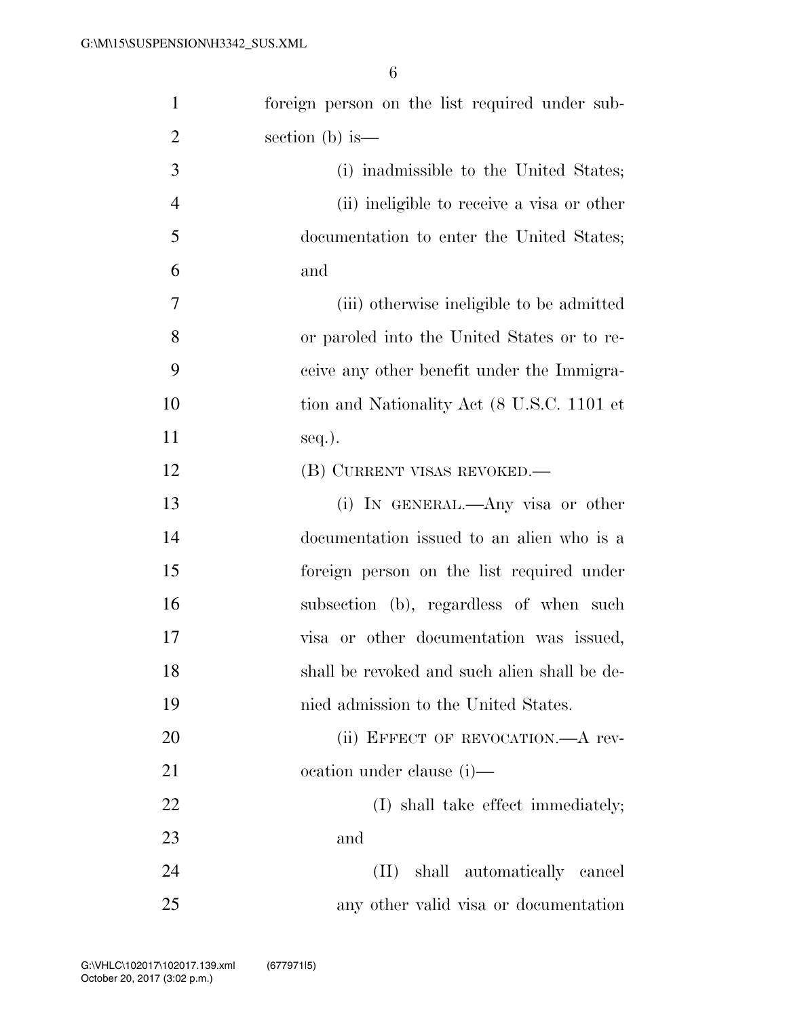| $\mathbf{1}$   | foreign person on the list required under sub- |
|----------------|------------------------------------------------|
| $\overline{2}$ | section (b) is $-$                             |
| 3              | (i) inadmissible to the United States;         |
| $\overline{4}$ | (ii) ineligible to receive a visa or other     |
| 5              | documentation to enter the United States;      |
| 6              | and                                            |
| 7              | (iii) otherwise ineligible to be admitted      |
| 8              | or paroled into the United States or to re-    |
| 9              | ceive any other benefit under the Immigra-     |
| 10             | tion and Nationality Act (8 U.S.C. 1101 et     |
| 11             | $seq.$ ).                                      |
| 12             | (B) CURRENT VISAS REVOKED.—                    |
| 13             | (i) IN GENERAL.—Any visa or other              |
| 14             | documentation issued to an alien who is a      |
| 15             | foreign person on the list required under      |
| 16             | subsection (b), regardless of when such        |
| 17             | visa or other documentation was issued,        |
| 18             | shall be revoked and such alien shall be de-   |
| 19             | nied admission to the United States.           |
| 20             | (ii) EFFECT OF REVOCATION.—A rev-              |
| 21             | ocation under clause (i)—                      |
| 22             | (I) shall take effect immediately;             |
| 23             | and                                            |
| 24             | (II) shall automatically cancel                |
| 25             | any other valid visa or documentation          |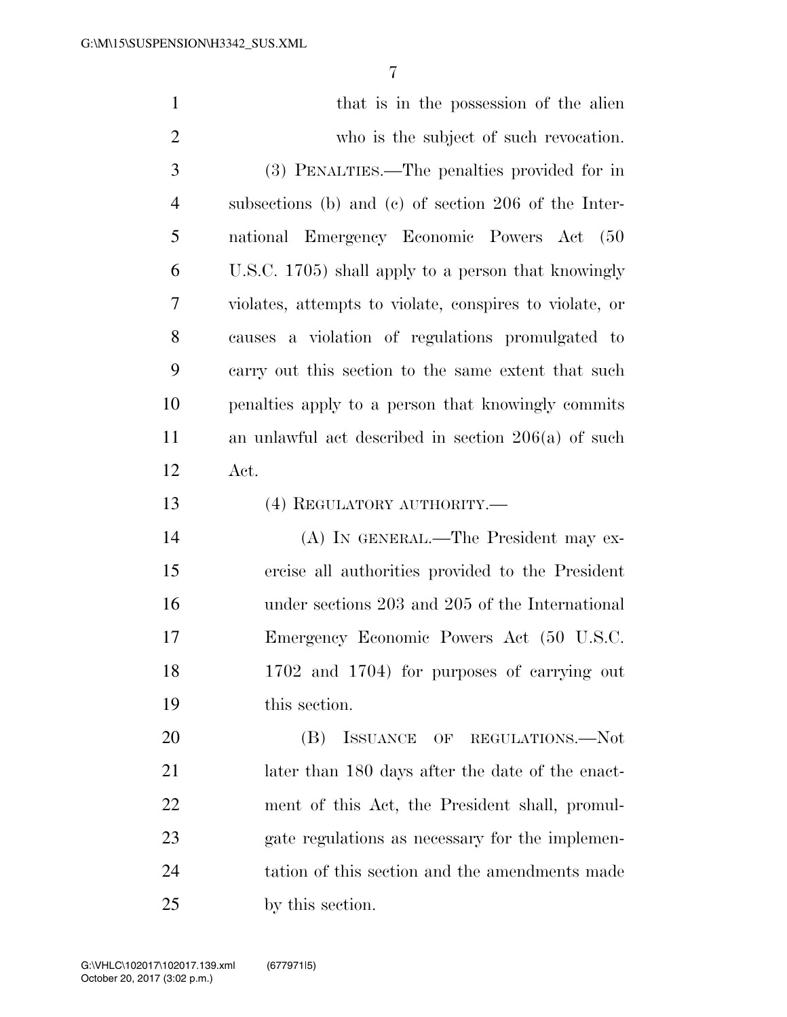| $\mathbf{1}$   | that is in the possession of the alien                  |
|----------------|---------------------------------------------------------|
| $\overline{2}$ | who is the subject of such revocation.                  |
| $\mathfrak{Z}$ | (3) PENALTIES.—The penalties provided for in            |
| $\overline{4}$ | subsections (b) and (c) of section 206 of the Inter-    |
| 5              | national Emergency Economic Powers Act (50              |
| 6              | U.S.C. 1705) shall apply to a person that knowingly     |
| 7              | violates, attempts to violate, conspires to violate, or |
| 8              | causes a violation of regulations promulgated to        |
| 9              | carry out this section to the same extent that such     |
| 10             | penalties apply to a person that knowingly commits      |
| 11             | an unlawful act described in section $206(a)$ of such   |
| 12             | Act.                                                    |
| 13             | (4) REGULATORY AUTHORITY.—                              |
| 14             | (A) IN GENERAL.—The President may ex-                   |
| 15             | ercise all authorities provided to the President        |
| 16             | under sections 203 and 205 of the International         |
| 17             | Emergency Economic Powers Act (50 U.S.C.                |
| 18             | 1702 and 1704) for purposes of carrying out             |
| 19             | this section.                                           |
| 20             | ISSUANCE OF REGULATIONS.-Not<br>(B)                     |
| 21             | later than 180 days after the date of the enact-        |
| 22             | ment of this Act, the President shall, promul-          |
| 23             | gate regulations as necessary for the implemen-         |
| 24             | tation of this section and the amendments made          |
| 25             | by this section.                                        |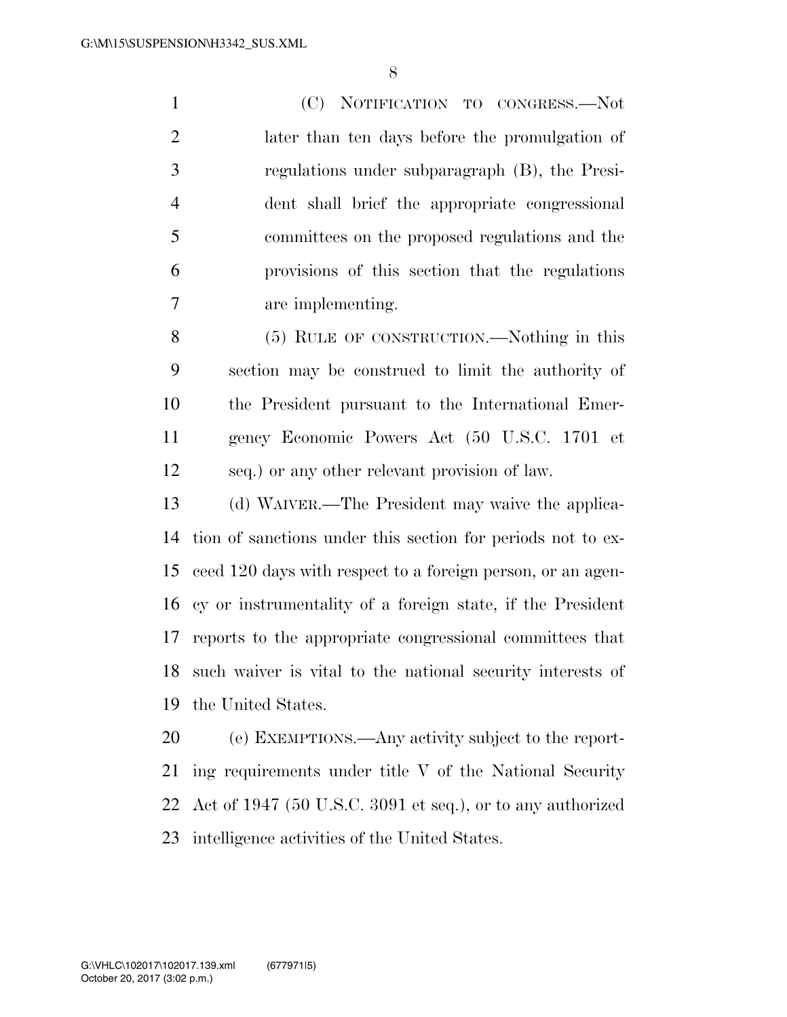(C) NOTIFICATION TO CONGRESS.—Not later than ten days before the promulgation of regulations under subparagraph (B), the Presi- dent shall brief the appropriate congressional committees on the proposed regulations and the provisions of this section that the regulations are implementing.

 (5) RULE OF CONSTRUCTION.—Nothing in this section may be construed to limit the authority of the President pursuant to the International Emer- gency Economic Powers Act (50 U.S.C. 1701 et seq.) or any other relevant provision of law.

 (d) WAIVER.—The President may waive the applica- tion of sanctions under this section for periods not to ex- ceed 120 days with respect to a foreign person, or an agen- cy or instrumentality of a foreign state, if the President reports to the appropriate congressional committees that such waiver is vital to the national security interests of the United States.

 (e) EXEMPTIONS.—Any activity subject to the report- ing requirements under title V of the National Security Act of 1947 (50 U.S.C. 3091 et seq.), or to any authorized intelligence activities of the United States.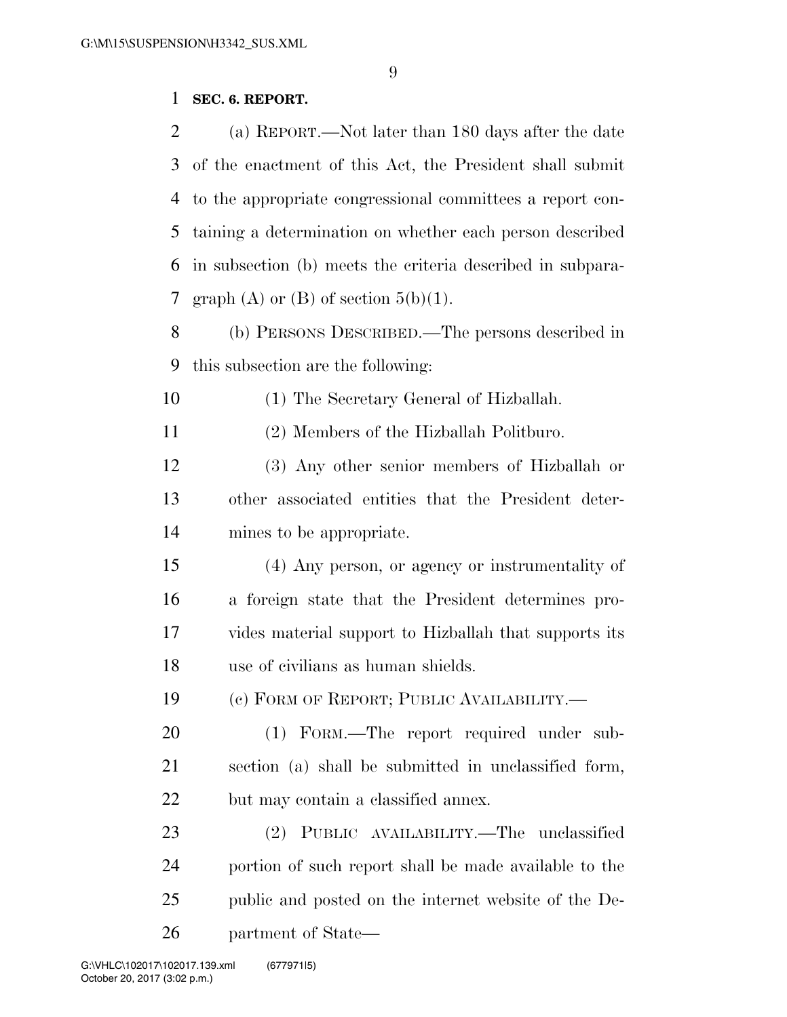# **SEC. 6. REPORT.**

| 2  | (a) REPORT.—Not later than 180 days after the date         |
|----|------------------------------------------------------------|
| 3  | of the enactment of this Act, the President shall submit   |
| 4  | to the appropriate congressional committees a report con-  |
| 5  | taining a determination on whether each person described   |
| 6  | in subsection (b) meets the criteria described in subpara- |
| 7  | graph (A) or (B) of section $5(b)(1)$ .                    |
| 8  | (b) PERSONS DESCRIBED.—The persons described in            |
| 9  | this subsection are the following:                         |
| 10 | (1) The Secretary General of Hizballah.                    |
| 11 | (2) Members of the Hizballah Politburo.                    |
| 12 | (3) Any other senior members of Hizballah or               |
| 13 | other associated entities that the President deter-        |
| 14 | mines to be appropriate.                                   |
| 15 | (4) Any person, or agency or instrumentality of            |
| 16 | a foreign state that the President determines pro-         |
| 17 | vides material support to Hizballah that supports its      |
| 18 | use of civilians as human shields.                         |
| 19 | (c) FORM OF REPORT; PUBLIC AVAILABILITY.-                  |
| 20 | (1) FORM.—The report required under sub-                   |
| 21 | section (a) shall be submitted in unclassified form,       |
| 22 | but may contain a classified annex.                        |
| 23 | (2) PUBLIC AVAILABILITY.—The unclassified                  |
| 24 | portion of such report shall be made available to the      |
| 25 | public and posted on the internet website of the De-       |
| 26 | partment of State—                                         |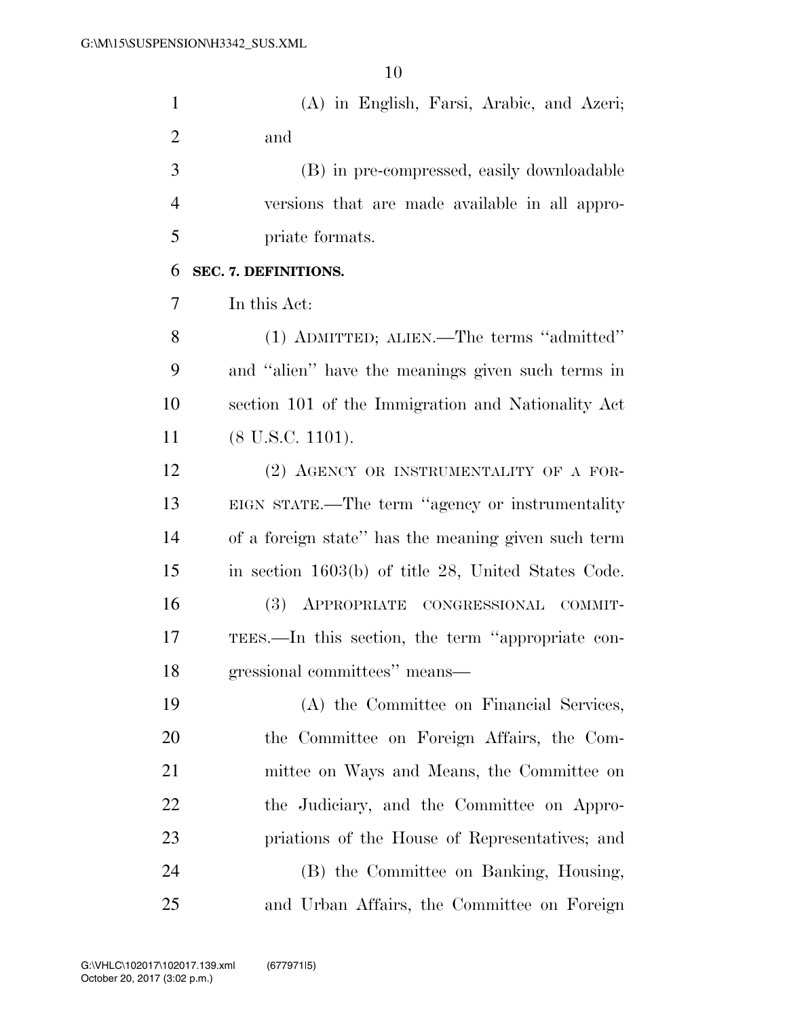| $\mathbf{1}$   | (A) in English, Farsi, Arabic, and Azeri;           |
|----------------|-----------------------------------------------------|
| $\overline{2}$ | and                                                 |
| 3              | (B) in pre-compressed, easily downloadable          |
| $\overline{4}$ | versions that are made available in all appro-      |
| 5              | priate formats.                                     |
| 6              | SEC. 7. DEFINITIONS.                                |
| 7              | In this Act:                                        |
| 8              | (1) ADMITTED; ALIEN.—The terms "admitted"           |
| 9              | and "alien" have the meanings given such terms in   |
| 10             | section 101 of the Immigration and Nationality Act  |
| 11             | $(8$ U.S.C. 1101).                                  |
| 12             | (2) AGENCY OR INSTRUMENTALITY OF A FOR-             |
| 13             | EIGN STATE.—The term "agency or instrumentality     |
| 14             | of a foreign state" has the meaning given such term |
| 15             | in section 1603(b) of title 28, United States Code. |
| 16             | (3) APPROPRIATE CONGRESSIONAL<br>COMMIT-            |

 TEES.—In this section, the term ''appropriate con-gressional committees'' means—

 (A) the Committee on Financial Services, the Committee on Foreign Affairs, the Com- mittee on Ways and Means, the Committee on 22 the Judiciary, and the Committee on Appro- priations of the House of Representatives; and (B) the Committee on Banking, Housing, and Urban Affairs, the Committee on Foreign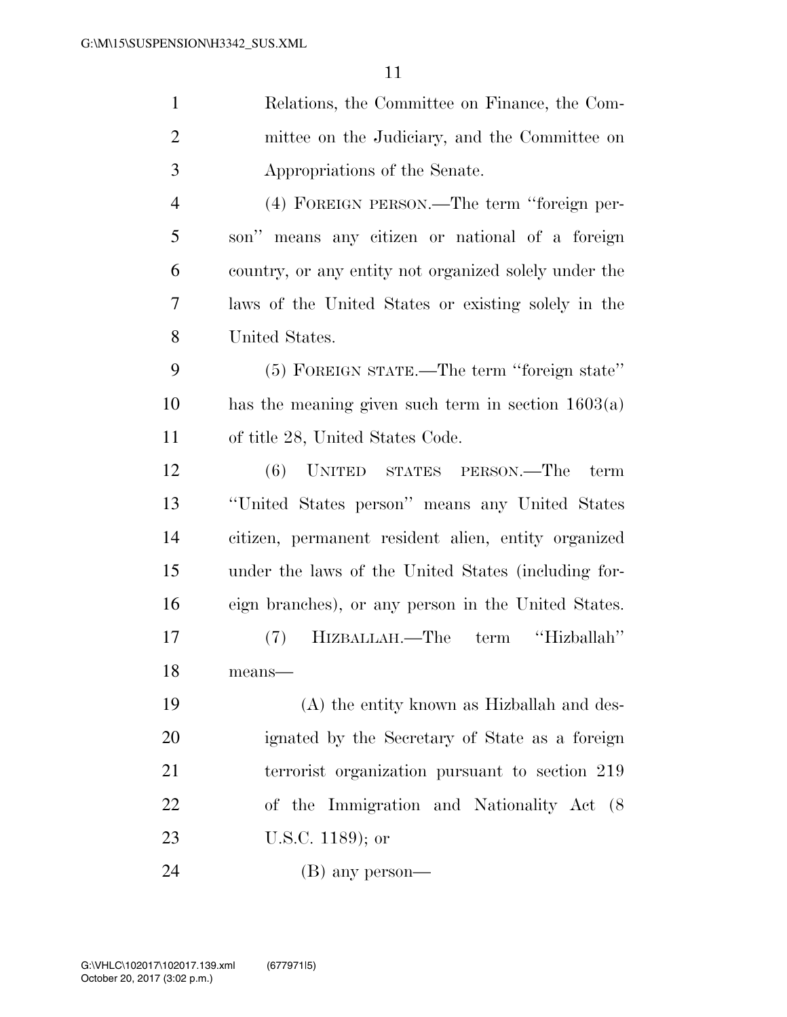| $\mathbf{1}$   | Relations, the Committee on Finance, the Com-         |
|----------------|-------------------------------------------------------|
| $\overline{2}$ | mittee on the Judiciary, and the Committee on         |
| 3              | Appropriations of the Senate.                         |
| $\overline{4}$ | (4) FOREIGN PERSON.—The term "foreign per-            |
| 5              | son" means any citizen or national of a foreign       |
| 6              | country, or any entity not organized solely under the |
| 7              | laws of the United States or existing solely in the   |
| 8              | United States.                                        |
| 9              | (5) FOREIGN STATE.—The term "foreign state"           |
| 10             | has the meaning given such term in section $1603(a)$  |
| 11             | of title 28, United States Code.                      |
| 12             | (6) UNITED STATES PERSON.—The<br>term                 |
| 13             | "United States person" means any United States        |
| 14             | citizen, permanent resident alien, entity organized   |
| 15             | under the laws of the United States (including for-   |
| 16             | eign branches), or any person in the United States.   |
| 17             | HIZBALLAH.—The term "Hizballah"<br>(7)                |
| 18             | means-                                                |
| 19             | (A) the entity known as Hizballah and des-            |
| 20             | ignated by the Secretary of State as a foreign        |
| 21             | terrorist organization pursuant to section 219        |
| 22             | of the Immigration and Nationality Act (8)            |
| 23             | U.S.C. $1189$ ; or                                    |
| 24             | (B) any person—                                       |